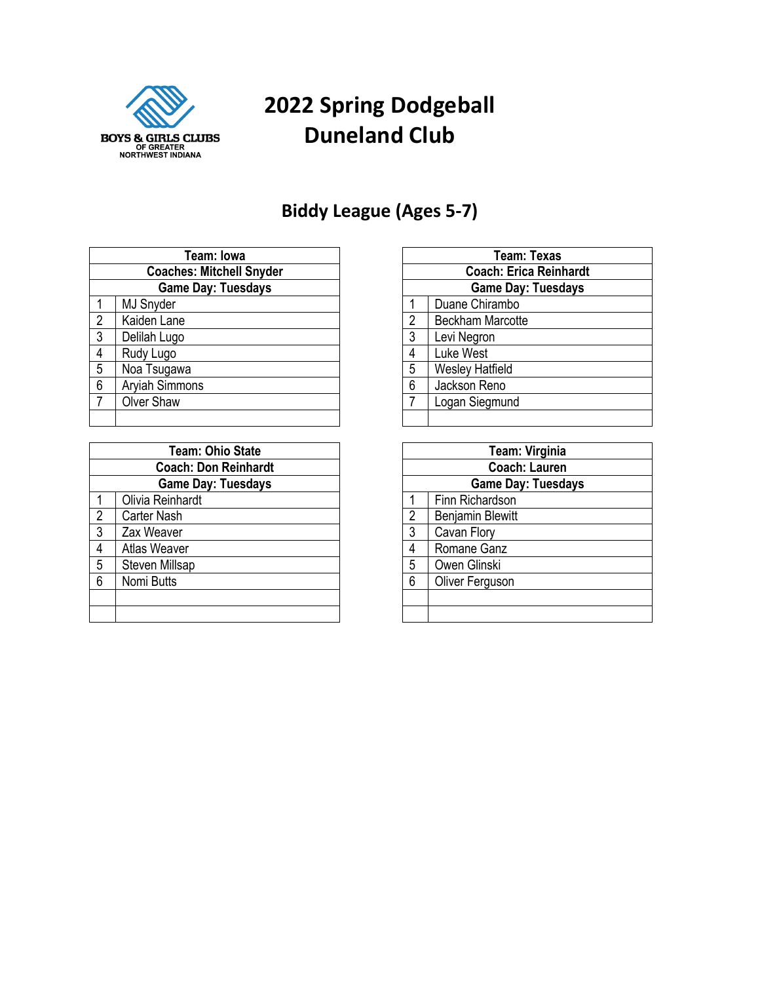

# **Spring Dodgeball Duneland Club**

#### **Biddy League (Ages 5-7)**

| Team: Iowa                      |                       |  |
|---------------------------------|-----------------------|--|
| <b>Coaches: Mitchell Snyder</b> |                       |  |
| <b>Game Day: Tuesdays</b>       |                       |  |
| 1                               | <b>MJ Snyder</b>      |  |
| $\overline{2}$                  | Kaiden Lane           |  |
| $\overline{3}$                  | Delilah Lugo          |  |
| 4                               | Rudy Lugo             |  |
| $5\phantom{.0}$                 | Noa Tsugawa           |  |
| 6                               | <b>Aryiah Simmons</b> |  |
| $\overline{7}$                  | <b>Olver Shaw</b>     |  |
|                                 |                       |  |

| <b>Team: Ohio State</b> |                             |  |  |
|-------------------------|-----------------------------|--|--|
|                         | <b>Coach: Don Reinhardt</b> |  |  |
|                         | <b>Game Day: Tuesdays</b>   |  |  |
|                         | Olivia Reinhardt            |  |  |
| $\overline{2}$          | <b>Carter Nash</b>          |  |  |
| 3                       | Zax Weaver                  |  |  |
| 4                       | <b>Atlas Weaver</b>         |  |  |
| 5                       | <b>Steven Millsap</b>       |  |  |
| հ                       | Nomi Butts                  |  |  |
|                         |                             |  |  |
|                         |                             |  |  |

| Team: Texas                   |                         |  |
|-------------------------------|-------------------------|--|
| <b>Coach: Erica Reinhardt</b> |                         |  |
| <b>Game Day: Tuesdays</b>     |                         |  |
| 1                             | Duane Chirambo          |  |
| $\overline{2}$                | <b>Beckham Marcotte</b> |  |
| 3                             | Levi Negron             |  |
|                               | Luke West               |  |
| 5                             | <b>Wesley Hatfield</b>  |  |
| 6                             | Jackson Reno            |  |
|                               | Logan Siegmund          |  |
|                               |                         |  |

| <b>Team: Virginia</b>     |                         |  |  |
|---------------------------|-------------------------|--|--|
|                           | <b>Coach: Lauren</b>    |  |  |
| <b>Game Day: Tuesdays</b> |                         |  |  |
|                           | Finn Richardson         |  |  |
| $\overline{2}$            | <b>Benjamin Blewitt</b> |  |  |
| 3                         | Cavan Flory             |  |  |
|                           | Romane Ganz             |  |  |
| 5                         | Owen Glinski            |  |  |
| 6                         | Oliver Ferguson         |  |  |
|                           |                         |  |  |
|                           |                         |  |  |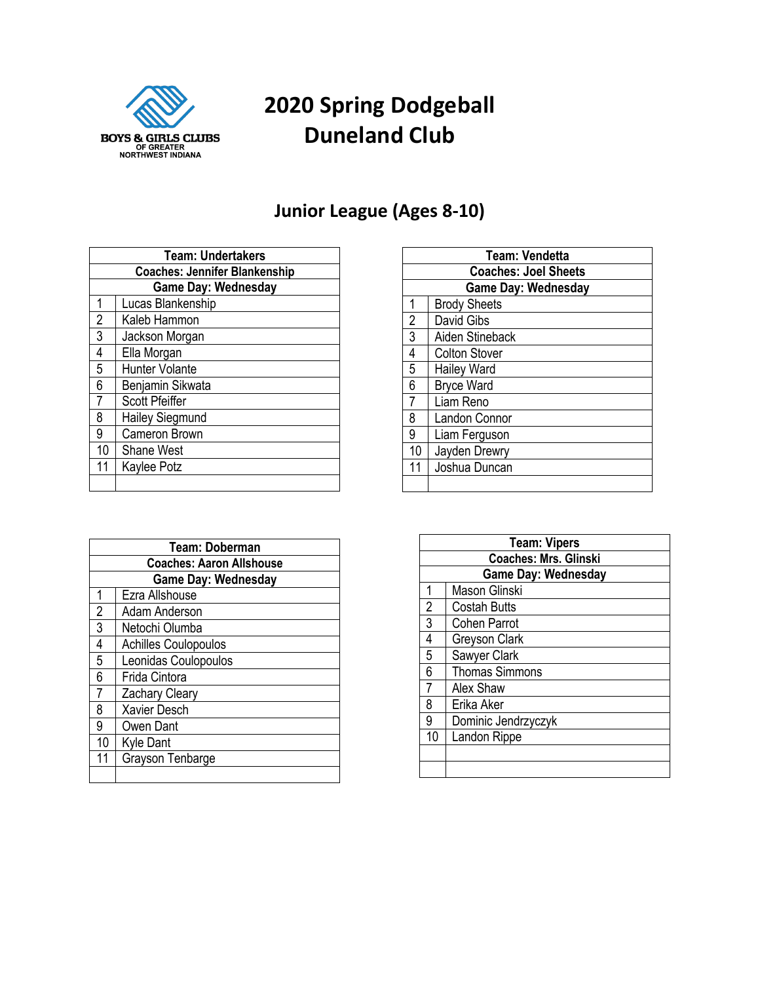

# **Spring Dodgeball Duneland Club**

#### **Junior League (Ages 8-10)**

| <b>Team: Undertakers</b>             |                        |  |
|--------------------------------------|------------------------|--|
| <b>Coaches: Jennifer Blankenship</b> |                        |  |
| <b>Game Day: Wednesday</b>           |                        |  |
| 1                                    | Lucas Blankenship      |  |
| $\overline{2}$                       | Kaleb Hammon           |  |
| $\overline{3}$                       | Jackson Morgan         |  |
| 4                                    | Ella Morgan            |  |
| 5                                    | <b>Hunter Volante</b>  |  |
| 6                                    | Benjamin Sikwata       |  |
| $\overline{7}$                       | <b>Scott Pfeiffer</b>  |  |
| 8                                    | <b>Hailey Siegmund</b> |  |
| 9                                    | Cameron Brown          |  |
| 10                                   | <b>Shane West</b>      |  |
| 11                                   | Kaylee Potz            |  |
|                                      |                        |  |

|                | Team: Doberman                  |
|----------------|---------------------------------|
|                | <b>Coaches: Aaron Allshouse</b> |
|                | Game Day: Wednesday             |
| 1              | Ezra Allshouse                  |
| $\frac{2}{3}$  | Adam Anderson                   |
|                | Netochi Olumba                  |
| 4              | <b>Achilles Coulopoulos</b>     |
| 5              | Leonidas Coulopoulos            |
| 6              | Frida Cintora                   |
| $\overline{7}$ | Zachary Cleary                  |
| $\overline{8}$ | <b>Xavier Desch</b>             |
| $\overline{9}$ | Owen Dant                       |
| 10             | <b>Kyle Dant</b>                |
| 11             | Grayson Tenbarge                |
|                |                                 |

| <b>Team: Vendetta</b>       |                      |  |
|-----------------------------|----------------------|--|
| <b>Coaches: Joel Sheets</b> |                      |  |
| <b>Game Day: Wednesday</b>  |                      |  |
| 1                           | <b>Brody Sheets</b>  |  |
| $\overline{2}$              | David Gibs           |  |
| 3                           | Aiden Stineback      |  |
| 4                           | <b>Colton Stover</b> |  |
| 5                           | <b>Hailey Ward</b>   |  |
| 6                           | <b>Bryce Ward</b>    |  |
| 7                           | Liam Reno            |  |
| 8                           | <b>Landon Connor</b> |  |
| 9                           | Liam Ferguson        |  |
| 10                          | Jayden Drewry        |  |
| 11                          | Joshua Duncan        |  |
|                             |                      |  |

|    | <b>Team: Vipers</b>          |
|----|------------------------------|
|    | <b>Coaches: Mrs. Glinski</b> |
|    | <b>Game Day: Wednesday</b>   |
|    | <b>Mason Glinski</b>         |
| 2  | <b>Costah Butts</b>          |
| 3  | <b>Cohen Parrot</b>          |
| 4  | Greyson Clark                |
| 5  | Sawyer Clark                 |
| 6  | <b>Thomas Simmons</b>        |
|    | Alex Shaw                    |
| 8  | Erika Aker                   |
| 9  | Dominic Jendrzyczyk          |
| 10 | Landon Rippe                 |
|    |                              |
|    |                              |